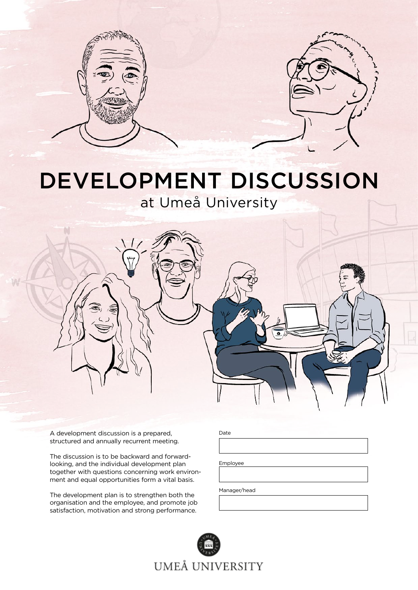



# DEVELOPMENT DISCUSSION

at Umeå University



A development discussion is a prepared, structured and annually recurrent meeting.

The discussion is to be backward and forwardlooking, and the individual development plan together with questions concerning work environment and equal opportunities form a vital basis.

The development plan is to strengthen both the organisation and the employee, and promote job satisfaction, motivation and strong performance.

| ٧<br>ł<br>. .<br>$\sim$ |
|-------------------------|
|-------------------------|

Employee

Manager/head

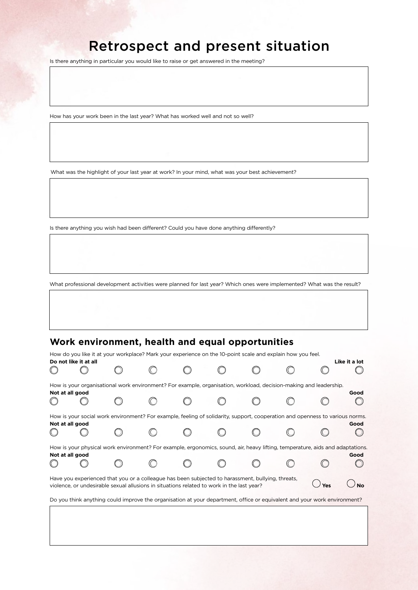## Retrospect and present situation

Is there anything in particular you would like to raise or get answered in the meeting?

How has your work been in the last year? What has worked well and not so well?

What was the highlight of your last year at work? In your mind, what was your best achievement?

Is there anything you wish had been different? Could you have done anything differently?

What professional development activities were planned for last year? Which ones were implemented? What was the result?

### **Work environment, health and equal opportunities**

| How do you like it at your workplace? Mark your experience on the 10-point scale and explain how you feel.                                                                                            |                 |  |  |  |  |  |  |  |      |  |
|-------------------------------------------------------------------------------------------------------------------------------------------------------------------------------------------------------|-----------------|--|--|--|--|--|--|--|------|--|
| Do not like it at all<br>Like it a lot                                                                                                                                                                |                 |  |  |  |  |  |  |  |      |  |
|                                                                                                                                                                                                       |                 |  |  |  |  |  |  |  |      |  |
| How is your organisational work environment? For example, organisation, workload, decision-making and leadership.                                                                                     |                 |  |  |  |  |  |  |  |      |  |
|                                                                                                                                                                                                       | Not at all good |  |  |  |  |  |  |  | Good |  |
|                                                                                                                                                                                                       |                 |  |  |  |  |  |  |  |      |  |
| How is your social work environment? For example, feeling of solidarity, support, cooperation and openness to various norms.                                                                          |                 |  |  |  |  |  |  |  |      |  |
|                                                                                                                                                                                                       | Not at all good |  |  |  |  |  |  |  | Good |  |
|                                                                                                                                                                                                       |                 |  |  |  |  |  |  |  |      |  |
| How is your physical work environment? For example, ergonomics, sound, air, heavy lifting, temperature, aids and adaptations.                                                                         |                 |  |  |  |  |  |  |  |      |  |
|                                                                                                                                                                                                       | Not at all good |  |  |  |  |  |  |  | Good |  |
|                                                                                                                                                                                                       |                 |  |  |  |  |  |  |  |      |  |
| Have you experienced that you or a colleague has been subjected to harassment, bullying, threats,<br>Yes<br>violence, or undesirable sexual allusions in situations related to work in the last year? |                 |  |  |  |  |  |  |  |      |  |
| Do you think anything could improve the organisation at your department, office or equivalent and your work environment?                                                                              |                 |  |  |  |  |  |  |  |      |  |
|                                                                                                                                                                                                       |                 |  |  |  |  |  |  |  |      |  |
|                                                                                                                                                                                                       |                 |  |  |  |  |  |  |  |      |  |